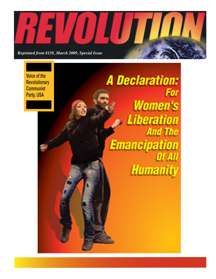

**Voice of the Revolutionary Communist Party, USA**

**A Declaration:** For **Women's Liberation And The Emancipation** Of All **Humanity**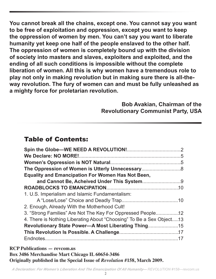**You cannot break all the chains, except one. You cannot say you want to be free of exploitation and oppression, except you want to keep the oppression of women by men. You can't say you want to liberate humanity yet keep one half of the people enslaved to the other half. The oppression of women is completely bound up with the division of society into masters and slaves, exploiters and exploited, and the ending of all such conditions is impossible without the complete liberation of women. All this is why women have a tremendous role to play not only in making revolution but in making sure there is all-theway revolution. The fury of women can and must be fully unleashed as a mighty force for proletarian revolution.**

# **Bob Avakian, Chairman of the Revolutionary Communist Party, USA**

# Table of Contents:

| <b>Equality and Emancipation For Women Has Not Been,</b>             |  |
|----------------------------------------------------------------------|--|
|                                                                      |  |
|                                                                      |  |
| 1. U.S. Imperialism and Islamic Fundamentalism:                      |  |
|                                                                      |  |
| 2. Enough, Already With the Motherhood Cult!                         |  |
| 3. "Strong Families" Are Not The Key For Oppressed People12          |  |
| 4. There is Nothing Liberating About "Choosing" To Be a Sex Object13 |  |
| Revolutionary State Power-A Most Liberating Thing15                  |  |
|                                                                      |  |
|                                                                      |  |
|                                                                      |  |

**RCP Publications — revcom.us Box 3486 Merchandise Mart Chicago IL 60654-3486 Originally published in the Special Issue of** *Revolution* **#158, March 2009.**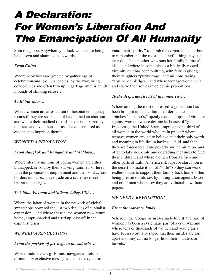# A Declaration: For Women's Liberation And The Emancipation Of All Humanity

Spin the globe. Anywhere you look women are being held down and slammed backwards.

## *From China…*

Where baby boys are greeted by gatherings of celebration and joy. Girl babies, by the way, bring condolences and often turn up in garbage dumps amidst mounds of stinking refuse…1

## *To El Salvador…*

Where women are arrested out of hospital emergency rooms if they are suspected of having had an abortion, and where their medical records have been seized by the state and even their uteruses have been used as evidence to imprison them.<sup>2</sup>

## *WE NEED A REVOLUTION!*

#### *From Bangkok and Bangalore and Moldova...*

Where literally millions of young women are either kidnapped, or sold by their starving families, or lured with the promises of employment and then sold across borders into a sex-slave trade on a scale never seen before in history…

## *To China, Vietnam and Silicon Valley, USA…*

Where the labor of women in the network of global sweatshops powered the last two decades of capitalist expansion…and where these same women now return home, empty-handed and used up, cast off in the capitalist crisis.

## *WE NEED A REVOLUTION!*

## *From the pockets of privilege in the suburbs…*

Where middle-class girls must navigate a lifetime of mutually exclusive messages —to be sexy but to

guard their "purity," to climb the corporate ladder but to remember that the most meaningful thing they can ever do is be a mother who puts her family before all else—and where in some places a biblically rooted virginity cult has been built up, with fathers giving their daughters "purity rings" and millions taking "abstinence pledges"; and where teenage women cut and starve themselves in epidemic proportions.

## *To the desperate streets of the inner city…*

Where among the most oppressed, a generation has been brought up in a culture that derides women as "bitches" and "ho's," openly exalts pimps and violence against women; where despite its boasts of "great freedoms," the United States imprisons one-third of all women in the world who are in prison<sup>3</sup>; where teenage women are led to believe that their only worth and meaning in life lies in having a child, and then they are forced to endure poverty and humiliation, and often to take desperate and degrading measures to feed their children; and where women from Mexico and other parts of Latin America risk rape, or starvation in the desert, to make it to "El Norte" so they can work endless hours to support their family back home, often being pressured into sex by immigration agents, bosses and other men who know they are vulnerable without papers.

## *WE NEED A REVOLUTION!*

## *From the war-torn lands…*

Where in the Congo, as in Bosnia before it, the rape of women has been a systematic part of a civil war and where tens of thousands of women and young girls have been so brutally raped that their insides are torn apart and they can no longer hold their bladders or bowels.4

*A Declaration: For Women's Liberation And The Emancipation Of All Humanity— REVOLUTION #158—revcom.us*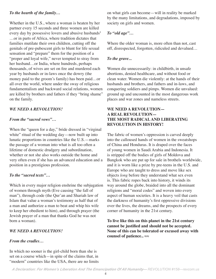#### *To the hearth of the family…*

Whether in the U.S., where a woman is beaten by her partner every 15 seconds and three women are killed every day by possessive lovers and abusive husbands<sup>5</sup> …or in parts of Africa, where tradition dictates that families mutilate their own children, cutting off the genitals of pre-pubescent girls to blunt for life sexual sensation and "prepare" them for the position of a "proper and loyal wife," never tempted to stray from her husband…or India, where hundreds, perhaps thousands, of wives are set on fire and murdered each year by husbands or in-laws once the dowry (the money paid to the groom's family) has been paid…or all over the world, where under the sway of religious fundamentalism and backward social relations, women are killed by brothers and fathers if they "bring shame" on the family.

#### *WE NEED A REVOLUTION!*

#### *From the "sacred vows"…*

When the "queen for a day," bride dressed in "virginal white" ritual of the wedding day—now built up into lunatic proportions in countries like the U.S.—marks the passage of a woman into what is all too often a lifetime of domestic drudgery and subordination, whether or not she also works outside the home and very often even if she has an advanced education and a position in a prestigious profession.

#### *To the "sacred texts"…*

Which in every major religion enshrine the subjugation of women through myth (Eve causing "the fall of man"), through code (the Qur'an and Shariah law of Islam that value a woman's testimony as half that of a man and authorize a man to beat and whip his wife to keep her obedient to him), and through prayer (the Jewish prayer of a man that thanks God he was not born a woman).

#### *WE NEED A REVOLUTION!*

#### *From the cradles…*

In which no sooner is the girl-child born than she is set on a course which—in spite of the claims that, in "modern" countries like the USA, there are no limits on what girls can become—will in reality be marked by the many limitations, and degradations, imposed by society on girls and women.

## *To "old age"…*

Where the older woman is, more often than not, cast off, disrespected, forgotten, ridiculed and devalued…

#### *To the grave...*

Women die unnecessarily: in childbirth, in unsafe abortions, denied healthcare, and without food or clean water. Women die violently: at the hands of their husbands and brothers, and fathers and in-laws, and conquering soldiers and pimps. Women die unvalued: ground up and uncounted in the most dangerous work places and war zones and nameless streets.

### **WE NEED A REVOLUTION— A REAL REVOLUTION— THE MOST RADICAL AND LIBERATING REVOLUTION IN HISTORY!**

The fabric of women's oppression is carved deeply into the calloused hands of women in the sweatshops of China and Honduras. It is draped over the faces of young women in Saudi Arabia and Indonesia. It is stripped off the bodies of girls of Moldova and Bangkok who are put up for sale in brothels worldwide, and it is worn like a prize by pre-teens in the U.S. and Europe who are taught to dress and move like sex objects *long* before they understand what sex even is. This fabric ropes back into history, it winds its way around the globe, braided into all the dominant religions and "moral codes" and woven into every aspect of human societies. It is a heavy veil that casts the darkness of humanity's first oppressive divisions over the lives, the dreams, and the prospects of every corner of humanity in the 21st century.

**To live like this on this planet in the 21st century cannot be justified and should not be accepted. None of this can be tolerated or excused away with counsel of patience..** ≈≈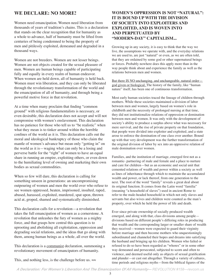## **WE DECLARE: NO MORE!**

Women need emancipation. Women need liberation from thousands of years of tradition's chains. This is a declaration that stands on the clear recognition that for humanity as a whole to advance, half of humanity must be lifted from centuries of being condemned to being the property of men and pitilessly exploited, demeaned and degraded in a thousand ways.

Women are not breeders. Women are not lesser beings. Women are not objects created for the sexual pleasure of men. Women are human beings capable of participating fully and equally in every realm of human endeavor. When women are held down, all of humanity is held back. Women must win liberation, and they can only be liberated through the revolutionary transformation of the world and the emancipation of all of humanity, and through being a powerful motive force in that revolution.

At a time when many proclaim that finding "common ground" with religious fundamentalists is necessary, or even desirable, this declaration does not accept and will not compromise with women's enslavement. This declaration has no patience for those who tell us to "be realistic" when what they mean is to tinker around within the horrible confines of the world as it is. This declaration calls out the moral and ideological bankruptcy of those who claim the mantle of women's advance but mean only "getting in" on the world as it is—waging what can only be a losing and perverse battle for the "right" of women to have an equal share in running an empire, exploiting others, or even down to the humiliating level of owning and marketing their own bodies as sexual commodities.

When so few will dare, this declaration is calling for something unseen in generations: an uncompromising outpouring of women and men the world over who refuse to see women oppressed, beaten, imprisoned, insulted, raped, abused, harassed, exploited, murdered, spat upon, thrown acid at, groped, shamed and systematically diminished.

This declaration calls for a revolution—a revolution that takes the full emancipation of women as a cornerstone. A revolution that unleashes the fury of women as a mighty force, and that grasps how central this question is to uprooting and abolishing all exploitation, oppression and degrading social relations, and the ideas that go along with them, among human beings as a whole, all over the world.

This declaration is a communist declaration, summoning a revolutionary movement of emancipators of humanity.

## **WOMEN'S OPPRESSION IS NOT "NATURAL": IT IS BOUND UP WITH THE DIVISION OF SOCIETY INTO EXPLOITERS AND EXPLOITED, AND IS WOVEN INTO AND PERPETUATED BY "MODERN-DAY" CAPITALISM...**

Growing up in any society, it is easy to think that the way we live, the assumptions we operate with, and the everyday relations we are used to, are just "natural" or even, as we are often told, that they are ordained by some god or other supernatural beings or forces. Probably nowhere does this apply more than in the way people think about and experience the family as well as the relations between men and women.

But there IS NO unchanging, and unchangeable, natural order god given or biological. The history of the family, like "human nature" itself, has been one of continuous transformation.

Most early human societies traced the lineage of children through mothers. While these societies maintained a division of labor between men and women, largely based on women's role in childbirth and the necessity of prolonged nursing at that time, they did not institutionalize relations of oppression or domination between men and women. It was only with the development of society's ability to produce a surplus above what was necessary for mere survival, and the rise of private property on that foundation, that people were divided into exploiter and exploited, and a state arose to enforce the domination of one class over another. Bound up with that very development was the further transformation of the original division of labor by sex into an oppressive relation of male domination over women.

Families, and the institution of marriage, emerged first not as a romantic- partnering of male and female and a place to nurture and care for children—but as an economic and social unit that cemented relations of wealth and power within a society as well as lines of inheritance through which to maintain the accumulated wealth and power, or lack thereof, from one generation to the next. The root of the word "family" reveals a great deal about its original function. It comes from the Latin word "familia" (meaning "a household of slaves") used in ancient Rome to refer to the male-headed household in which not only slaves and servants but also wives and children were counted as the man's property, over which he held the power of life and death.

Ever since private ownership of socially produced wealth emerged, and along with that, class divisions among people divisions based on different people's differing roles in producing that wealth and the corresponding larger or smaller share of wealth they received—women were expected to guard their virginity before marriage and then become mothers who unquestioningly subordinated and channeled their hopes and dreams into satisfying the husband and bringing up *his* children. Women who failed or refused to do so have been regarded as "whores" or in some other way demeaned and persecuted, subjected to scorn and often to violence, and deemed useful only as objects of sexual gratification and plunder—or cast out altogether. Through a variety of cultures, time periods and religious myths—from the biblical figures of the

This, and nothing less, is the challenge before us.  $\approx \approx$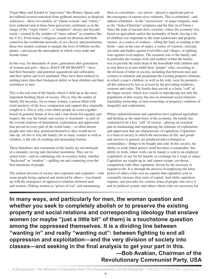Virgin Mary and Jezebel to "pop icons" like Britney Spears and her tabloid-covered transition from girlhood innocence to despised seductress—these two models, of "chaste woman" and "whore," have endured (and at times been perversely combined, as in the image of the "virgin whore"—a "temptress" always just beyond reach—created by the molders of "mass culture" in countries like the U.S.). From today's religious assault on abortion and birth control to the worldwide networks of sex slavery and prostitution, these two models continue to mangle the lives of billions on this planet—and poison the atmosphere in which every male and female relate.

In this way, for thousands of years, generation after generation of women and girls—that is, HALF OF HUMANITY—have had their humanity and potential squandered and suffocated, and their spirits and lives mutilated. They have been reduced to nothing more than their biological ability to bear children and their usefulness to men.

*This* is the real root of the family which is held up as the most important building block of society. *This* is why the reality of family life becomes, for so many women, a prison filled with cruel mockery of the love, compassion and support they originally sought in it. *This* is why, even where people do come together based on genuine bonds of love and a true desire for equality and respect, the way the family and society is structured—as part of the overall relations of domination, exploitation and oppression that prevail in every part of the world today—so often thrusts people into roles they promised themselves they would never take up. *All this* is why the family, for so many women as well as children, is the site of crushing and demeaning horrors.

These brutalities and constraints of the family are not betrayals of a romantic, loving and cherished institution. They are its actual roots—and its continuing role in societies today, whether "backward" or "modern"—spilling out and contorting even the best intentions of people.

The earliest division of society into exploiters and exploited—with some people being captured and enslaved by others—was bound up with the emergence of oppressive relations between men and women. (Taking women as "prizes of war" and maintaining

them as concubines—sex slaves—played a significant part in the emergence of master-slave relations. This is enshrined—and indeed celebrated—in the "sacred texts" of major religions, such as the "Judeo-Christian" scriptures and the Qur'an of Islam.) Since the time of ancient slave societies, where the economy was based on agriculture and/or the husbandry of herds, having a lot of children was important to the male landowners and property owners, as a source of workers—tilling the land, or tending to the herds—and, in the case of males, a source of warriors, carrying out raids and battles against rival tribes and villages, or fighting wars against rival empires. The essential role of the family, and in particular the woman (wife and mother) within the family, was to provide the male head of the household with children and to rear them to in turn fulfill their "proper" roles, according to the division of labor in society, including that between men and women; to maintain and perpetuate the existing property relations, in which a man's children, as well as his wife, were his property all this enforced by law or at least by the prevailing traditions, customs and codes. The family thus served as a basic "cell" of the larger society, which was crucial in reproducing not only the population of that society but also its dominant social relations (including ownership, or non-ownership, of property), relations of inequality and exploitation.

Where industrialization and capitalism have replaced agriculture and herding as the main basis of the economy, the family has continued to be a key "cell" of society—playing an essential part in maintaining and reproducing the relations of exploitation and oppression that are characteristic of capitalism. Capitalism is a form of society in which the necessities of life, and goods and services in general, are produced and exchanged as commodities—things to be bought and sold. In this society, the ability to work (labor power) itself becomes a commodity: this ability to work, where work can be found, is sold to an employer (capitalist), to use for his benefit, in exchange for a wage or salary. Capitalists are caught up in, and cannot escape, cut-throat competition with other capitalists, driven by the necessity to expand or die. It is through the process of employing the labor power of others (who own no capital) that capitalists seek to constantly increase their store of capital. And while capitalism requires, and provides for, various strata of people who serve it and its political system, and others whose roles are necessary for

**In many ways, and particularly for men, the woman question and whether you seek to completely abolish or to preserve the existing property and social relations and corresponding ideology that enslave women (or maybe "just a little bit" of them) is a touchstone question among the oppressed themselves. It is a dividing line between "wanting in" and really "wanting out": between fighting to end all oppression and exploitation—and the very division of society into classes—and seeking in the final analysis to get your part in this. —Bob Avakian, Chairman of the Revolutionary Communist Party, USA**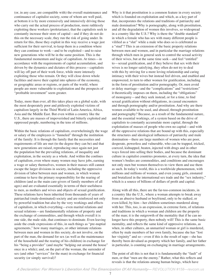(or, in any case, are compatible with) the overall maintenance and continuance of capitalist society, some of whom are well paid, at bottom it is by more extensively and intensively driving those who carry out the actual process of production, more ruthlessly exploiting these workers (proletarians), that the capitalists seek to constantly increase their store of capital—and if they do not do this on the necessary scale, they run the risk of going under. In return for this, those they exploit in this way receive a wage just sufficient for their survival, to keep them in a condition where they can continue to work—and to be exploited—and to raise new generations who will be in the same position. This is the fundamental momentum and logic of capitalism. At times—in accordance with the requirements of capital accumulation, and driven by the dynamics and dictates of this process—capitalists will lay off part of their work force, while more intensely exploiting those who remain. Or they will close down whole facilities and move their capital into spheres of the economy, or geographic areas or regions, or parts of the world, where people are more vulnerable to exploitation and the prospects of "profitable investment" seem greater.

Today, more than ever, all this takes place on a global scale, with the most desperately poor and pitilessly exploited victims of capitalism largely in the Third World of Latin America, Africa, Asia and the Middle East. But even within a country like the U.S., there are masses of impoverished and bitterly exploited and oppressed people, numbering in the tens of millions.

Within the basic relations of capitalism, overwhelmingly the wage or salary of the employees is "funneled" through the institution of the family: It is through the family that the necessities and requirements of life are met (to the degree they can be) and that new generations are raised, reproducing once again not just the population but the prevailing relations, of inequality and exploitation, in the society as a whole. And within the confines of capitalism, even where many women may have jobs, earning a wage or salary themselves, women in their masses still cannot escape the larger divisions in society, including the oppressive division of labor between men and women, in which women continue to have the primary responsibility for the rearing of children (and as the main care-givers of family members of all ages) and are evaluated essentially in terms of their usefulness to men, as mothers and wives and objects of sexual gratification. These relations have been inherited from thousands of years of patriarchal (male-dominated) society and are reinforced not only by powerful tradition but also by the very workings and effects of capitalism, in which everything—even marital relations and sexual relations—are fundamentally relations of property and the exchange of commodities, and through which overall it is one side, the male side, that continues to dominate. Even leaving aside the crude expressions of this, in such things as "pre-nuptial agreements," how many marriages, or other intimate relations between men and women in this society, do not involve, on the part of the man, the demand for sex (as well as the maintenance of the household and the rearing of his children) in exchange for his "being a provider" (and maybe "helping out around the house" once in a while); and, on the part of the woman, the surrender of sex (and other "services" for the man) in exchange for financial security (or simply survival)?

Why is it that prostitution is a common feature in every society which is founded on exploitation and which, as a key part of that, incorporates the relations and traditions of patriarchy and male domination? Why is pornography, along with prostitution, and all the degradation of women this involves, so widespread in a country like the U.S.? Why is there the "double standard" in which a female who has sex with many different people is vilified as a "slut" while a male who does so is celebrated as a "stud"? This is an extension of the basic property relations between men and women, and in particular the marriage relations through which men in general seek to control the sexual activity of their wives, but at the same time seek—and feel "entitled" to—sexual gratification, and if they believe that sex with their wives is no longer satisfying, they often do not try to deal with this by striving for a more loving relationship and caring intimacy with their wives but instead feel driven, and enabled and empowered, to turn to other women for gratification, including in the form of prostitution and/or pornography. Or, men avoid or delay marriage—and the "complications" and "restrictions" it theoretically imposes on them, including the "obligations" of monogamy—and they seek instead, or for a time, to find sexual gratification without obligations, in casual encounters and through pornography and/or prostitution. And why are there women available to be used, and abused, through prostitution and pornography? Because, as a result of the fundamental nature, and the essential workings, of a system based on the drive of capitalists to constantly accumulate more capital, through the exploitation of masses of people who own no capital—and with all the oppressive relations that are bound up with this, especially the structures and ideological influences of patriarchy and male domination—there are large numbers of women who are poor, desperate, powerless and vulnerable, who can be trapped, tricked, coerced, kidnapped, beaten, injected with drugs and in other ways forced into selling their bodies, and because the dominant culture in capitalist countries promotes, at every turn, the idea that women's bodies are commodities, and conditions and encourages not only men but women themselves to view them and use them as such. In today's world, this is a worldwide phenomenon, with millions and millions of women, and even young girls, ensnared and brutalized in the international sex trade and the "sex industry," which is a source of billions of dollars of profit and capital.

Along with all this, there are the far-too-common incidents, in a country like the U.S., where a woman attempts to break away from an abusive husband or boyfriend, only to be stalked, or even killed, by him—her children sometimes murdered along with her. This, too, is an expression, in extreme form, of relations and traditions in which a woman and children are the property of the man; it is the outgrowth of the mentality that if he can no longer have this property, then nobody will! This is the same basic mentality, and reflects the same kind of oppressive relations, as when, in other cultures, an unmarried woman or girl is murdered, often by male members of her own family, because she has "lost her virginity" and so—even if this is the result of rape—she has thereby been devalued as property which her family, and her father in particular, is counting on exchanging in marriage arrangements.

The point of all this is not that it is fundamentally the "fault" of men, or that "men are the enemy." Rather, what this reflects and reveals is that the relations among human beings, which have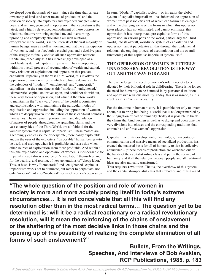developed over thousands of years—since the time that private ownership of land (and other means of production) and the division of society into exploiters and exploited emerged—have been, and remain, grounded in oppression...that capitalism is the latest, and a highly developed, embodiment of these oppressive relations...that overthrowing capitalism, and overturning, uprooting and completely abolishing all such relations, everywhere in the world, is in the interests of the vast majority of human beings, men as well as women...and that the emancipation of women is, and must be, both a crucial goal and a decisive part of the struggle to finally abolish all such oppressive relations. Capitalism, especially as it has increasingly developed as a worldwide system of capitalist imperialism, has incorporated, within its overall process of accumulation of wealth and capital, many relations of exploitation and oppression that predate capitalism. Especially in the vast Third World, this involves the oppression of women in forms which are loudly denounced by the defenders of "modern," "enlightened" and "democratic" capitalism—at the same time as this "modern," "enlightened," "democratic" capitalism thrives upon, and could not do without, these very forms of oppression, and which it therefore works to maintain in the "backward" parts of the world it dominates and exploits, along with maintaining the particular modes of exploitation and oppression, including the oppression of women, which are deeply woven into the fabric of these capitalist countries themselves. The extreme impoverishment and degradation of masses of people, throughout the sprawling slums and the vast countrysides of the Third World, are a lifeblood for the vampire system that is capitalist imperialism. These masses are a seemingly endless source of desperate, more easily exploitable and, in the eyes of the exploiters, "disposable" human beings—to be used, and used up, when it is profitable and cast aside when other sources of exploitation seem more profitable. And within all this, the exploitation and oppression of women is indispensable for imperialist capital—as a source of "cheap labor" themselves and for the bearing, and rearing, of new generations of "cheap labor." This, at base, is why "democratic" and "enlightened" capitalist imperialism works not to eliminate, but rather to perpetuate, not only "modern" but also "medieval" forms of women's oppression.

In sum: "Modern" capitalist society—or in reality the global system of capitalist imperialism—has inherited the oppression of women from past societies out of which capitalism has emerged, and while changing some of the forms in which this oppression takes place, it has not eliminated, and cannot eliminate, this oppression; it has incorporated pre-capitalist forms of this oppression, in various parts of the world, particularly the Third World, into its overall, worldwide system of exploitation and oppression; and it perpetuates all this through the fundamental relations, the ongoing process of accumulation and the overall functioning of this capitalist-imperialist system itself.

### **THE OPPRESSION OF WOMEN IS UTTERLY UNNECESSARY: REVOLUTION IS THE WAY OUT AND THE WAY FORWARD**

There is no longer the need for women's role in society to be dictated by their biological role in childbearing. There is no longer the need for humanity to be hemmed in by patriarchal traditions and oppressive religious morality. Today, this is as insane, as it is cruel, as it is *utterly unnecessary*.

For the first time in human history, it is possible not only to dream about, but to bring into being, a world that is no longer marked by the subjugation of half of humanity. Today it is possible to break the chains that bind women as well as to dig up and overcome the very divisions into classes and the corresponding traditions that entrench and enforce women's oppression.

Capitalism, with its development of technology, transportation, communication and massive means of socialized production, has created the material basis for all of humanity to live in collective abundance—*if* these means of production are wrenched out of the hands of the capitalist ruling class and put in the service of humanity, and *if* all the relations between people and all traditional ideas are also radically transformed.

**This requires revolution**. That is, the overthrow of this system and the capitalist-imperialist class that embodies and runs it—and

**"The whole question of the position and role of women in society is more and more acutely posing itself in today's extreme circumstances… It is not conceivable that all this will find any resolution other than in the most radical terms… The question yet to be determined is: will it be a radical reactionary or a radical revolutionary resolution, will it mean the reinforcing of the chains of enslavement or the shattering of the most decisive links in those chains and the opening up of the possibility of realizing the complete elimination of all forms of such enslavement?"** 

> **Bullets, From the Writings, Speeches, And Interviews of Bob Avakian, RCP Publications, 1985, p. 183**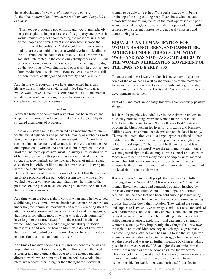the establishment of a *new revolutionary state power*. As the *Constitution of the Revolutionary Communist Party, USA* explains:

"This new revolutionary power must, and would, immediately strip the capitalist-imperialist class of its property and power. It would immediately set about meeting the most pressing needs of the people and solving what up to now have seemed the most 'intractable' problems. And it would do all this to serve, and as part of, something larger: a world revolution, leading to the all-around emancipation of humanity. This new power, a socialist state rooted in the conscious activity of tens of millions of people, would embark on a series of further struggles to dig up the very roots of exploitation and oppression in every sphere, from production to social institutions to ideas, in a process full of monumental challenges and real vitality and diversity."6

And, in line with everything we have emphasized here, this historic transformation of society, and indeed the world as a whole, would have as one of its cornerstones—as a fundamental and decisive goal, and driving force—the struggle for the complete emancipation of women.

\*\*\*\*\*

Today the history of communist revolution has been buried and heaped with scorn. It has been deemed a "failed project" by the so-called champions of progress.

But if any system should be evaluated as a monumental failure for the way it squanders and plunders humanity as a whole as well as women in particular—that system is capitalism. As we have seen, capitalism has not freed women, it has merely taken the ageold oppression of women and updated it and integrated it into the most violent, most oppressive, most massively immiserating form of human organization this planet has ever seen. And every day it spreads its reach, grinds up the lives and bodies of millions, and casts them into oblivion like so much human waste—leaving no part of the globe untouched.

Despite the reality of these horrors—and the fact that they are the inevitable products of the outmoded system we now live under we find the utter collapse and capitulation to "the limits of the possible" on the part of those who once proclaimed the banner of the liberation of women.

At a time when the basic right to control when and whether to bear a child hangs by a thread, when abortion and even birth control are under fire, the "feminist" movement can rarely even bring itself to utter the word abortion and concedes, wrongly and outrageously, that there is something morally wrong with it. Such "feminists" have forgotten, or turned away from, the essential truth that women who have been denied the right and ability to decide themselves if and when to bear children, who do not have even that measure of control over their own bodies, have been reduced to a position that is tantamount to slavery.

At a time of massive food-crises, all-around economic crisis and imperialist wars that steal lives by the millions, when the need is greater and more urgent than ever to bring about a radically different world where humanity is unchained as a whole, these "feminist leaders" aim no higher than the fight for individual

women to be able to "get in on" the perks that go with being on the top of the dog-eat-dog heap. Even those who dedicate themselves to improving the lot of the most oppressed and poor women around the globe do so with their hopes and efforts still tethered to the current oppressive order, a truly hopeless and demoralizing task.

#### **EQUALITY AND EMANCIPATION FOR WOMEN HAS NOT BEEN, AND CANNOT BE, ACHIEVED UNDER THIS SYSTEM: WHAT WAS—AND WAS NOT—ACCOMPLISHED BY THE WOMEN'S LIBERATION MOVEMENT OF THE 1960S AND EARLY '70S**

To understand these lowered sights, it is necessary to speak to some of the advances as well as shortcomings of the movement for women's liberation that, to a very significant degree, reshaped the culture of the U.S. in the 1960s and '70s, as well as some key developments since then.

First of all and most importantly, this was a tremendously positive struggle!

It is hard for people who didn't live in those times to understand how truly horrific things were for women in the '50s in the U.S. Behind the romanticized "Father Knows Best" portrayals of domestic bliss, women led lives of suffocation and brutality. Millions were driven into deep depression and isolated insanity. Their social interaction was, to a large degree, restricted to their children, and their horizons were supposed to be no higher than "Good Housekeeping." Abortion and birth control (or at least many forms of birth control) were illegal in many states—there was no general right in the country to birth control or to abortion. Women were barred from many forms of employment, married women had little or no control over property and finances independently of their husbands, and in most states husbands had the legal right to rape their wives.

It is a *very good thing* for all people that this was forcefully challenged in the '60s and '70s! It was a *very good thing* that women lifted their heads and demanded equality. Inspired by the Black liberation struggle and utilizing "speak bitterness" sessions like the ones that had been held among peasants rising up in revolutionary China, women formed consciousness-raising groups that broke down their isolation. They gained the strength and support to leave abusive marriages and to set new standards of what partnerships should be. They entered school and all spheres of work in growing numbers. They challenged the mores that stifled human relations, exploring—and challenging stigmas on women's sexuality. Very importantly, they fought for—*and won* the right to abortion! Men, too, began to change, a great many transforming their attitudes and beginning to see the struggle for women's emancipation as key to any struggle for a better world. All this fueled and was given further initiative by changes taking place in the structure of the U.S. and global economies which drew more women out of the homes and into the workforce. This also took place against a backdrop of revolutionary upsurges all over the world. It was a time of major social upheaval, tremendous ideological ferment, and daring self-sacrifice and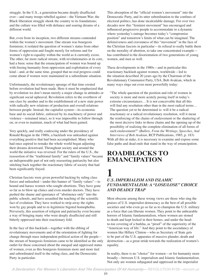struggle. In the U.S., a generation became deeply disaffected over—and many troops rebelled against—the Vietnam War; the Black liberation struggle shook the country to its foundations; and the culture was filled with defiance and soaring dreams of a different world.

But, even from its inception, two different streams contended within the women's movement. One stream was bourgeois feminism; it isolated the question of women's status from other forms of oppression and fought merely for reforms and for women's right to equality within the world as it currently exists. The other, far more radical stream, with revolutionaries at its core, had a basic sense that the emancipation of women was bound up with freeing humanity from oppression and exploitation of every kind—and, at the same time, grasped that no real progress could come about if women were maintained in a subordinate situation.

Unfortunately, the revolutionary upsurge of that time crested before revolution had been made. Here it must be emphasized that by revolution we don't mean merely a major change in attitudes or significant social upheaval. Revolution refers to the overthrow of one class by another and to the establishment of a new state power with radically new relations of production and overall relations between people. Instead, the capitalist system—its economic base and its social fabric, enforced by its machinery of power and violence—remained intact, so it was impossible to follow through on, or even to maintain, much of what had been gained.

Very quickly, and really coalescing under the presidency of Ronald Reagan in the 1980s, a backlash was unleashed against everything positive that had been accomplished. Many who had once aspired to remake the whole world began adjusting their dreams downward. Throughout society and around the world the initiative was reversed. For the rulers of the U.S., the reassertion of the "traditional family" and "family values" became an indispensable part of not only reasserting patriarchy but also stitching back together the reactionary fabric of society that had been significantly frayed.

Christian fascists were given powerful backing by ruling class forces and unleashed—under this banner of "family values"—to hound and harass women who sought abortions. They have gone so far as to blow up clinics and even murder doctors. They have pushed the shame and ignorance of "abstinence only" into the public schools, and have assaulted the teaching of the scientific fact of evolution. They have worked to strip away the rights won by gay people and to re-legitimize bigoted homophobia. Perversely, this assertion of religion and patriarchy even became a way of bringing many who were deeply disaffected and still bitterly oppressed into their reactionary fold.

In the face of this backlash—together with the ebbing of revolutionary movements and of the orientation of fighting for change through mass independent political action of the people the stream of bourgeois feminism came to be identified as the only outlet for those concerned about the unequal and oppressed status of women, even as this bourgeois feminism more and more tied and subordinated itself to the ruling class, and the Democratic Party in particular.

This absorption of the "official women's movement" into the Democratic Party, and its utter subordination to the confines of electoral politics, has done incalculable damage. For over two decades now this "feminist movement" has encouraged and influenced progressive people to accommodate to a dynamic where yesterday's outrage becomes today's "compromise position" and tomorrow's limits of what can be imagined. The defensiveness and cravenness of this "movement" in the face of the Christian fascists in particular—its refusal to really battle them on the morality of abortion, to take one concentrated example has contributed to the disorientation of two generations of young women, and men as well.

These developments in the 1980s—and in particular this reactionary backlash against women, worldwide—led to the situation described 20 years ago by the Chairman of the Revolutionary Communist Party, USA, Bob Avakian, which in many ways rings out even more powerfully today:

"The whole question of the position and role of women in society is more and more acutely posing itself in today's extreme circumstances… It is not conceivable that all this will find any resolution other than in the most radical terms... The question yet to be determined is: will it be a radical reactionary or a radical revolutionary resolution, will it mean the reinforcing of the chains of enslavement or the shattering of the most decisive links in those chains and the opening up of the possibility of realizing the complete elimination of all forms of such enslavement?" (*Bullets, From the Writings, Speeches, And Interviews of Bob Avakian*, RCP Publications, 1985, p. 183) With all this at stake, it is necessary to examine and expose some false paths and dead ends that stand in the way of emancipation.

# **ROADBLOCKS TO EMANCIPATION**

## **1** *U.S. IMPERIALISM AND ISLAMIC FUNDAMENTALISM: A "LOSE/LOSE" CHOICE AND DEADLY TRAP*

Most obscene among these wrong views are those who sing the praises of U.S. imperialist democracy as the best of all possible societies and who even go so far as to champion the U.S. military as a force that can liberate women. They point to the unbearable horrors of Islamic fundamentalism, where women are stoned to death and kept locked in their homes, and under the headto-toe covering of a burkha, as "proof" of the superiority of the "American way of life." And they point to the ascendancy of women like Hillary Clinton—who as Secretary of State gets to be part of the U.S. apparatus of massive plunder, death and destruction—as a great stride towards the realization of women's equality.

In reality, there is no "choice" for women—or for humanity more broadly—between U.S. imperialism and Islamic fundamentalism. Not only are women subjugated and oppressed in the imperialist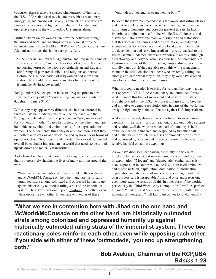countries, there is also the marked phenomenon of the rise in the U.S. of Christian fascists who are every bit as reactionary, misogynist, and "medieval" as any Islamic cleric, and who are fanatical advocates and fighters for what is in fact the most oppressive force in the world today: U.S. imperialism.

Further, liberation for women can never be delivered through the guns and boots and warships of an imperialist army. A recent statement from the March 8 Women's Organization (Iran-Afghanistan) drives this home very powerfully:

"U.S. imperialism invaded Afghanistan and Iraq in the name of a 'war against terror' and the 'liberation of women.' It ended up pouring terror on the people of Afghanistan and Iraq and reinforcing all patriarchal, tribal, and religious authorities. Before the U.S. occupation of Iraq women had more equal status. They could move around in cities freely without the Islamic hejab [head covering]."

Today, under U.S. occupation in Basra, Iraq the price to hire someone to carry out an "honor killing" against one's wife or daughter is a mere \$100.7

While they may appear very different, the burkha enforced by fanatical Islamic fundamentalism, on the one hand, and the "thong," widely advertised and promoted as "sexy underwear" for women, in "modern" capitalist society, on the other hand, are both hideous symbols and embodiments of the degradation of women. The fundamental thing they have in common is that they are both manifestations of a world marked by horrendous forms of oppression, both "traditional" and "modern"—a world dominated overall by capitalist imperialism—a world that needs to be turned upside down and radically transformed.

As Bob Avakian has pointed out in speaking to a phenomenon that is increasingly shaping the lives of many millions around the world:

"What we see in contention here with Jihad on the one hand and McWorld/McCrusade on the other hand, are historically outmoded strata among colonized and oppressed humanity up against historically outmoded ruling strata of the imperialist system. These two reactionary poles reinforce each other, even while opposing each other. If you side with either of these

'outmodeds,' you end up strengthening both."

Between these two "outmodeds" it is the imperialist ruling classes, and that of the U.S. in particular, which have, by far, done the most harm to humanity and pose the greatest threats. In fact, imperialist domination itself in the Middle East, Indonesia, and elsewhere—along with the massive disruption and dislocation that this domination causes, and the corruption, venality and vicious repression characteristic of the local governments that are dependent on and serve imperialism—gives great fuel to the fire of Islamic fundamentalism as a response to all this, although a reactionary one. Anyone who uses their feminist credentials to legitimate any part of the U.S.'s savage imperialist aggression is morally bankrupt. If they are able to do this while managing to maintain the self-delusion that those who are *really* calling the shots give a damn what they think, they may well have crossed over to the realm of the criminally insane.

What is urgently needed is to bring forward another way—a way that opposes BOTH of these reactionary and outmoded forces. And the more this kind of movement and powerful resistance is brought forward in the U.S., the more it will give air to breathe and initiative to genuine revolutionaries in parts of the world that are quite righteously hotbeds of hatred against U.S. imperialism.

And what is needed, above all, is a revolution, to sweep away capitalism-imperialism, and all reactionary and outmoded systems and relations...all the ways in which half of humanity is held down, demeaned, plundered and despoiled by the other half… and all the ways in which the masses of humanity are enslaved and oppressed by a rotten and murderous system, ruled over by a relative handful of ruthless exploiters.

As we have discussed, capitalism, especially in this era of highly globalized capitalist imperialism, is a worldwide system of exploitation. "Modern" and "democratic" capitalism, as it takes expression in countries like the U.S., both itself embodies, and indeed rests on, exploitation, domination, subordination, degradation and alienation of masses of people, right within its own borders, and is inseparable from, and once again rests on, even more extreme forms of all this in other parts of the world, particularly the Third World. Any attempt to "reform" or "perfect" the more "modern" and "democratic" forms of this, within the imperialist "homeland," will fail to uproot, or to fundamentally

**"What we see in contention here with Jihad on the one hand and McWorld/McCrusade on the other hand, are historically outmoded strata among colonized and oppressed humanity up against historically outmoded ruling strata of the imperialist system. These two**  reactionary poles reinforce each other, even while opposing each other. **If you side with either of these 'outmodeds,' you end up strengthening both."**

# **Bob Avakian, Chairman of the RCP,USA** *BAsics* **1:28**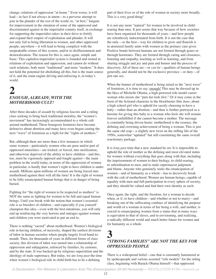change, relations of oppression "at home." Even worse, it will lead—in fact if not always in intent—to a perverse attempt to join in the plunder of the rest of the world, to, "at best," bargain for improvement in the situation of some of the oppressed and discriminated against in the imperialist country itself, in exchange for supporting the imperialist rulers in their drive to fortify and expand their empire of exploitation and plunder. It will not only fail to bring liberation to women, and other oppressed people, anywhere—it will lead to being complicit with the unspeakable crimes of this system, and/or to disillusionment and demoralization. The reason for this is, once again, simple and basic: This capitalist-imperialist system is founded and rooted in relations of exploitation and oppression, and cannot do without such relations, both more "traditional" and more "modern." It does not hold the potential for abolishing all this, but is the main source of it, and the main engine driving and enforcing it, in today's world.

## **2** *ENOUGH, ALREADY, WITH THE MOTHERHOOD CULT!*

After three decades of assault by religious fascists and a ruling class seeking to bring back traditional morality, the "women's movement" has increasingly accommodated to a whole cult around motherhood. These bourgeois feminists have become defensive about abortion and many have even begun casting the next "wave" of feminism as a fight for the "rights of mothers."

But, although there are more than a few instances in which some women—particularly women who are poor and/or part of oppressed minorities—are tricked, or forced, into sterilization, and otherwise deprived of the ability to have children—and this, too, must be vigorously opposed and fought against—the main problem in the world today, in terms of the oppression of women in particular, is hardly that women's right to have children is under assault. Millions upon millions of women are being forced into motherhood against their will all the time! It is the right of women to be fully emancipated human beings that is in danger of being buried.

Fighting for "the right of women to be respected as mothers" is NOT the same as fighting for women to be full and equal human beings. Until you break with the notion that women's essential role is as breeders of children—and especially if you yourself champion this idea—even with the best intentions, you will only end up reinforcing the very horrors and outrages against women and children you were motivated to put an end to.

There is nothing "sacred" about motherhood. Women's biological role in having children, of necessity, shaped the earliest divisions of labor in human societies where people largely lived hand-tomouth. Then, for thousands of years in different forms of class society, this division of labor was turned into a relationship of oppression and subjugation, enforced by families, by customs, and by the state. It was backed up by religious superstition and the ideology of male supremacy. But today, we are *long past* the time when women's biological role in child-birth has to be a defining

part of their lives or of the role of women in society more broadly. This is a very good thing!

It is not any more "natural" for women to be involved in childrearing than men. It just seems that way because of how societies have been organized for thousands of years—and how people are relentlessly indoctrinated from birth. It is not the case that the only—or the best—way for children to grow and flourish is in atomized family units with women as the primary care-giver. Positive bonds between humans are not formed through genes or through hormones. They are formed through caring and closeness, listening and empathy, teaching as well as learning, and from sharing struggle and joy and pain and humor and the process of discovery. All of these are—or *can be*—qualities of human beings generally, and should not be the exclusive province—or duty—of just one sex.

When the banner of motherhood is being raised as the "next wave" of feminism, it is time to say: enough! This may be dressed up in the likes of Michelle Obama, a high-powered role model career woman who insists she "puts her kids first." Or it may come in the form of the fictional character in the blockbuster film *Juno*, about a high school girl who is upheld for sassily choosing to have a baby—rather than an abortion—and then is further portrayed as a heroine for giving this baby to a woman who feels she will remain forever unfulfilled if she cannot become a mother. The message is constantly being driven home: motherhood is the essence, the defining and crowning achievement of being a woman. This is just the same old crap—a slightly new twist on the stifling life of the 1950s, somewhat "updated" but still constituting the same overall reactionary package.

It is *long past* time that a new standard be set. It is impossible to uphold the role of mother as the defining and most elevated status for women without everything that goes along with that, including the imprisonment of women to their biology, to child-rearing, to subordination to men, and to male-supremacist judgment and blame. Anyone who genuinely seeks the emancipation of women—and of humanity as a whole—has to decisively break with the cult of motherhood. Women are human beings, capable of equality with men and full participation in every sphere of society, and they should be valued and find their own identity as such.

Once again, the right, and the freedom, for a woman to decide when, or if, to have children—and whether or not to marry—and breaking out of the suffocating confines of identifying the purpose and worth of a woman in terms of her being a wife, and mother, is crucial to emancipating women from a status that in many ways is equivalent to that of slaves, and to envisioning, and realizing, a radically different world and much better future for women and for humanity as a whole.

## **3** *"STRONG FAMILIES" ARE NOT THE KEY FOR OPPRESSED PEOPLE*

There is a widespread belief—one that is constantly hammered at by spokespeople and various assorted "role models" for the ruling class, beginning with Barack Obama himself—that oppressed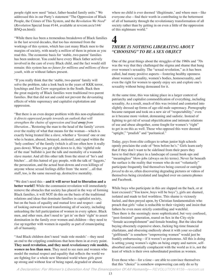people right now need "intact, father-headed family units." We addressed this in our Party's statement "The Oppression of Black People, the Crimes of This System, and the *Revolution We Need*" (*Revolution* Special Issue #144, available at revcom.us/a/144/ BNQ-en.html):

"While there *has* been a tremendous breakdown of Black families in the last several decades, that too has stemmed from the workings of this system, which has cast many Black men to the margins of society, with nearly a *million* of them in prison as you read this. The economic basis for 'stable, two-parent' families has been undercut. You could have every Black father actively involved in the care of every Black child, and the fact would still remain: this system has *no future for millions and millions of these youth*, with or without fathers present.

"If you really think that the 'stable, two-parent' family will solve the problem, take a look back to the years of KKK terror, lynchings and Jim Crow segregation in the South. Back then the great majority of Black families were traditional two-parent families. But that did not and could not prevent the devastating effects of white supremacy and capitalist exploitation and oppression.

"But there is an even deeper problem with this non-explanation: *it directs oppressed people towards an outlook that will strengthen the chains of oppression and lead away from liberation*...'Restoring the man to the head of the family' covers over the reality of what that means for the woman—which is exactly being treated like a slave, whether a 'favored' one or one who is beaten, abused, betrayed, molested, and raped within the 'holy confines' of the family (which is all too often how it really goes down). When you get right down to it, this 'rightful role of the man' bullshit is just the talk and mentality of a wannabe slave master. And all this other talk from the street of 'ho's and bitches'…all this hatred of gay people, with the talk of 'faggots,' the persecution, and the actual beat-downs and even killings of anyone whose sexual feelings differ from 'the norm'…all that stuff, too, is the same messed-up, destructive mentality.

"We don't need this—**and it will never lead to liberation and a better world!!** While the communist revolution will immediately remove the obstacles that society has placed in the way of forming Black families, it will NOT do this on the basis of the traditional relations and ideas that dominate families in capitalist society, but on the basis of equality and mutual love and respect—and of looking outward toward transforming all of society, including unleashing the full participation of women in every sphere. Black men, and other men, don't need to 'get in' on their 'right' to assert domination in the family over women and children—they need to rise up together with women in equality as part of emancipating all of humanity.

"And Black children don't need 'male role models'—they need an end to the crippling conditions that hem them in at every point. **They need revolution, and they need** *revolutionary* **role models,**  *women* **no less than men**. They need to see men and women who model the mutual respect and equality that reflects the world we are fighting for: a whole new liberated world where girls grow up strong and without fear of being raped, degraded or abused,

where no child is ever deemed 'illegitimate,' and where men—like everyone else—find their worth in contributing to the betterment of all of humanity through the revolutionary transformation of all society rather than by getting in on even a little of the oppression of this nightmare world."

# **4**

## *THERE IS NOTHING LIBERATING ABOUT "CHOOSING" TO BE A SEX OBJECT*

One of the great things about the struggles of the 1960s and '70s was the way that they challenged the stigma and shame that hung over women's sexuality. The "sexual revolution," as it has been called, had many positive aspects—fostering healthy openness about women's sexuality, women's bodies, homosexuality, and even the right for women to openly enjoy sex and explore one's sexuality without being demeaned for it.

At the same time, this was taking place in a larger context of patriarchy and capitalist commodification of everything, including sexuality. As a result, much of this was twisted and contorted into slightly dressed up forms of age-old male supremacy. Pornography became rampant and took on a new air of "respectability," even as it became more violent, demeaning and sadistic. Instead of fighting to get rid of sexual objectification and intimate relations of use and abuse altogether, some fought for women's "right" to get in on this as well. Those who opposed this were deemed "uptight," "prudish" and "puritanical."

Today, guys from elite colleges to urban junior high schools openly proclaim the code of "bros before ho's." Girls learn early that if they don't want to be sidelined from their peers they have to find their place in a landscape of casual hook-ups and "meaningless" blow-jobs (always on *his* terms). Never far beneath the surface is the reality that women who do not "voluntarily" participate frequently find themselves being coerced or outright *forced* to do so, often discovering degrading pictures or videos of themselves being circulated and laughed over on camera phones and Facebook.

While boys who participate in this are slapped on the back, or at least excused ("You know, boys will be boys"), girls are shamed, isolated and made to feel worthless. This shame is viciously fueled, and then preyed upon, by Christian fundamentalists who preach that girls' value is reducible to their virginity and insist that fathers be even more strictly controlling and watchful. Then there is the seemingly more sophisticated, but very confused, "post-feminist" generation, reared on Sex in the City-style "female accomplishment" and female bonding. But the idea that buying obscenely expensive shoes, fucking big-time financial charlatans, and obsessing endlessly about it with your so-called "girlfriends" is somehow "empowering women" would just be frankly embarrassing—if it weren't so poisonous. All this is doing is setting young women's sights on being empty and narrow, selfabsorbed and essentially complacent with the world as it is, not the least of which is their own subordinated position as women.

Even those who—for a time—are able to convince themselves that this "choice" is somehow empowering can only do so by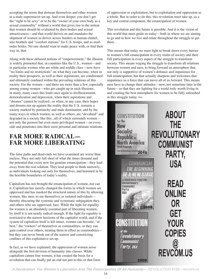accepting the terms that demean themselves and other women in a male-supremacist set-up. And even deeper, you don't get the "right to be sexy" or to be the "owner of your own body as a sexual commodity" without a world that gives rise to the notion that women should be evaluated by their bodies and sexual attractiveness—and that world thrives on and mandates the shipment of women in droves across borders as human chattel, into brothels and "comfort stations" for U.S. troops, and as mailorder brides. No one should want to make peace with, or find their way in, that.

Along with these debased notions of "empowerment," the illusion is widely promoted that, in countries like the U.S., women—and in particular women who are white and middle class—now have "no limits and no restrictions" on what they can become, when in reality their prospects, as well as their aspirations, are conditioned and ultimately confined within the prevailing relations of this society. For the women—and there are more than a few, especially among young women—who get caught up in such illusions, in many, many cases this leads once again to disillusionment, demoralization and depression, when their aspirations and "dreams" cannot be realized...or when, in any case, their hopes and dreams run up against the reality that the U.S. remains a society marked by patriarchy and male domination, and by the many ways in which women, as well as others, are "devalued" and degraded in a society like this...all of which surrounds women not only the poorest but even more privileged women—on every side and penetrates into their most personal and intimate relations.

# **FAR MORE RADICAL— FAR MORE LIBERATING**

The false paths and dead-ends we have examined are worse than useless. They not only fall short of what the times demand and the potential that exists now for genuine emancipation—they lead *away* from the real solution. They lead people to think narrowly, as individuals looking out only for themselves, and hemmed in by the horrible boundaries of today's reality.

Capitalism has not brought the emancipation of women, nor can it. Capitalism has merely changed the forms in which women are oppressed and has masked the structural nature of this by allowing women, like men, to see themselves as isolated individuals thereby obscuring the systemic and systematic subjugation they, and others who are oppressed, face. While the fight for equality for women is an absolutely essential part of liberating women, by itself it is not nearly radical enough. If the fight for equality is restricted to the narrow horizons of the capitalist world, and if the system of capitalism itself is left intact, women can become, "at best," the "owners" of themselves as commodities, or they can gain control over others, treating them in effect as commodities but they can never break out of the narrow and constricting confines of this exploitative set-up.

In fact, as we have explained, the oppression of women arose alongside the first division of humanity into classes. While capitalism cannot free women, it has created the basis for a revolution that can finally put an end not just to this or that form of oppression or exploitation, but to exploitation and oppression as a whole. But in order to do this, this revolution must take up, as a key and central component, the emancipation of women.

This revolution and this future is possible. And it is the vision of this world that must guide us today—both in where we are aiming to go and in how we live and relate throughout the struggle to get there.

This means that today we must fight to break down every barrier to women's full emancipation in every realm of society and their full participation in every aspect of the struggle to transform society. This means waging the struggle to transform all relations between women and men, to bring forward an atmosphere that not only is supportive of women's defiance and impatience for full emancipation, but that actually sharpens and welcomes that impatience as a force that can move all of us forward. This means men have to change their attitudes—now, not sometime later in the future—so that they are fighting for a world truly worth living in and creating the best atmosphere for women to be fully unleashed in this struggle today. ≈≈



*A Declaration: For Women's Liberation And The Emancipation Of All Humanity— REVOLUTION #158—revcom.us*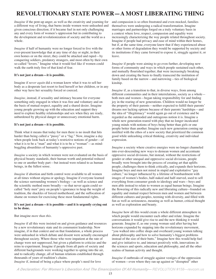# **REVOLUTIONARY STATE POWER—A MOST LIBERATING THING**

*Imagine* if the pent-up anger, as well as the creativity and yearning for a different way of living, that burns inside women were unleashed and given conscious direction; if it became fuel in not only challenging any and every form of women's oppression but in contributing to the development and revolutionization of society and the world as a whole.

*Imagine* if half of humanity were no longer forced to live with the ever-present knowledge that at any time of day or night, in their own homes or on the street, they could be attacked and raped—by conquering soldiers, predatory strangers, and most often by their own so-called "lovers." Imagine what it would feel like if women could walk the earth truly free of that kind of fear.

#### **It's not just a dream—it is possible.**

Imagine if *never again* did a woman know what it was to sell her body as a desperate last resort to feed herself or her children, or in any other way have her sexuality forced or coerced.

*Imagine*, instead, if sexuality and intimacy became for everyone something only engaged in when it was free and voluntary and on the basis of mutual respect, equality and a shared desire. Imagine young people growing up with the education and support they need to explore healthy relationships and sex when they are ready, unburdened by physical danger or unnecessary emotional harm.

#### **It's not just a dream—it is possible.**

Think what it means that today for men there is no insult that hits harder than being called a "pussy" or a "fag." Now, imagine a day when people look back at today's restrictive notions of gender—of what it is to be a "man" and what it is to be a "woman"—as mindboggling absurdities of humanity's oppressive past.

*Imagine* a society in which women were not evaluated on the basis of physical beauty standards, their human worth and potential reduced to one or another body part—but instead were related to as human beings, in the fullest sense.

*Imagine* if abortion and birth control were available to all women at all times without stigma or apology. Imagine if everyone learned the science surrounding women's biology—as well as science and the scientific method more broadly—so that never again could socalled "holy men" prey on people's ignorance to heap the weight of tradition, the shackles of forced motherhood, and the suffocation of shame on women for exercising these most fundamental rights.

#### **It's not just a dream—it is possible—and it is urgently crying out to be done.**

#### But imagine *more than this.*

*Imagine* if all this were insisted on and given guidance and resources by a new revolutionary state and its communist leadership. Now imagine, if in that context and on that foundation, a whole process were unleashed in which debate and dissent were actually encouraged throughout society. Where those who were impatient at the rate of change were not suppressed, but given a platform to criticize and the reins to experiment. Imagine if people from all parts of society and different backgrounds were working together to spring into the air, and to radically change, all of human relations established through thousands of years of tradition's chains.

*Imagine* if, instead of being a place where people's need for love

and compassion is so often frustrated and even mocked, families themselves were undergoing a radical transformation. Imagine marriages and partnerships forged on a truly voluntary basis in a context where love, respect, compassion and equality were increasingly characterizing the way people related throughout society. Imagine if people had privacy and ease of mind within their homes, but if, at the same time, everyone knew that if they experienced abuse or other forms of degradation they would be supported by society and its institutions if they came forward to expose it, struggle against it, or leave.

*Imagine* if people were aiming to go even further, developing new forms of community and ways in which people sustained each other, and mutually flourished together, that were increasingly breaking down and creating the basis to finally transcend the institution of family based on the narrow—and narrowing—ties of biological kinship.

*Imagine* if, as a transition to that, in diverse ways, from among different communities and in their interrelations, society as a whole both men and women—began taking responsibility for and finding joy in the rearing of new generations. Children would no longer be the property of their parents—neither expected to fulfill their parents' dreams nor lacking options because of their parents' hardships—and the idea of "illegitimacy" would again go out of existence and be regarded as the outmoded and outrageous notion it is. Imagine a whole new generation reared with play that no longer inculcated young minds with notions of boys being better than girls or one people better than another. Imagine each new generation coming up instilled with the ethos of a new society that prioritized the common good while unleashing critical thinking, creativity and individual expression.

*Imagine* a society where creative energies were no longer channeled into ever-descending new ways to demean women and accentuate oppressive social divisions, but instead, without the restrictions of gender or other unequal and oppressive social divisions, people broadly were brought into the process of creating art that uplifts people, challenges them to think critically, and expands their horizons. Imagine boys and men not mired in stupid and exploitative "guy culture," no longer influenced by a lifetime of bombardment with images of women's bodies, half-naked and half-starved, used to sell everything from consumer goods to ideology and wars—boys and men able instead to relate to women as equal human beings. Imagine the flowering of this radically new and liberating culture-–founded on equality and mutual respect between men and women and between different cultures and peoples, teeming with diversity, and filled with fun as well as seriousness, meaning as well as humor, critical thought as well as exploration and beauty.

*Imagine* how all this would create a whole different atmosphere in which people would encounter each other and relate. Imagine the conversations it would give rise to and the new thinking it would generate. Imagine if, as one young woman said after having her horizons expanded by stepping into the revolutionary movement, "you walked into coffee shops and overheard young women talking about philosophy and how to solve humanity's biggest problems instead of the size of their butts." Imagine how this would help fuel and give initiative to, and interact positively with, innovations in the sciences and sports, education and philosophy, and all the other realms of human activity and thought.

*Imagine* if outbreaks of struggle against vestiges of the oppression of women—even where they ran up against or "disrupted" other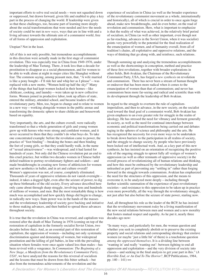important efforts to solve real social needs—were not squashed down or suppressed, but drawn forward, given life and enabled to play a key part in the process of changing the world. If leadership were given so that these challenges, too, became part of learning more deeply about the social transformations that were needed and *how* the needs of society could be met in *new ways*, ways that are in line with and a living advance towards the ultimate aim of a communist world, free of all forms of oppression and exploitation.

#### Utopian? Not in the least.

All of this is not only possible, but tremendous accomplishments in this direction were actually made in the first stage of communist revolution. This was especially true in China from 1949-1976, under the leadership of Mao Tsetung. There, it took less than a decade for prostitution to disappear as a social phenomenon, and for women to be able to walk alone at night in major cities like Shanghai without fear. The common saying, among peasant men, that, "A wife married is like a pony bought—I'll ride her and whip her as I please"—was replaced with a new motto, "Women hold up half the sky!" Many of the things that had kept women locked in their homes—like childcare, cooking, and laundry—were taken up in new collective forms. Women joined in productive labor, took up affairs of state, entered the military, attended school, and became leaders of the revolutionary party. Men, too, began to change and to relate to women in a new way—working alongside women in the public arenas and transforming the domestic sphere to share childcare and housework based on equality.

Very importantly, the arts, and the culture overall, were radically transformed so that a whole generation of girls and young women grew up with heroes who were strong and confident women, and it never occurred to them that they couldn't do what boys do. To take one concentrated example: before the revolution came to power, the practice of "foot binding"—breaking the bones and then binding the feet of young girls, so that they could hardly walk, in the name of "sexual attractiveness"—was widespread, and it had lasted for hundreds of years. Not only did the Chinese revolution put an end to this cruel practice, but within two decades women in Chinese ballet defied tradition to portray revolutionary fighters and soldiers—and made breakthroughs in creating new forms of athleticism for women and new aesthetics in ballet, and in art and culture overall! Women's oppression was not, of course, completely eliminated. Thousands of years of oppressive relations do not vanish overnight indeed, it takes a dogged fight, even after the seizure of power, to dig up these birthmarks of the old society. Every advance described here only came about through sharp struggle, involving tens and hundreds of millions of women, and men. But the most remarkable thing is how much was accomplished and how quickly things did begin to change, in radically new ways. State power was in the hands of the masses and the revolutionary leadership of society gave backing and initiative to those making advances, and then battled to spread these advances throughout society.

It is true that the revolution in China was reversed, and capitalism was restored after the death of Mao Tsetung in 1976 (coming on top of the restoration of capitalism in the formerly socialist Soviet Union, two decades before that). And, as an essential part of this restoration of capitalism, the oppression of women—including not only systematic discrimination against and demeaning of women, but widespread prostitution and the killing of girl babies, in line with the prevailing situation where females were once again valued less than males—has been revived with a vengeance. In *Communism: The Beginning of a New Stage, a Manifesto from the Revolutionary Communist Party, USA*<sup>8</sup> , we have analyzed the reasons for this reversal of socialism and the lessons that must be drawn from this bitter setback—but also from the tremendous achievements of the revolution and the

experience of socialism in China (as well as the broader experience of the revolutionary communist movement as a whole, internationally and historically), all of which is crucial in order to once again forge ahead, make new breakthroughs, and do even better, on the road of revolution and communism. Here, what is important to emphasize is that the reality of what was achieved, in the relatively brief period of socialism, in China (as well as other important, even though not as far-reaching, advances in the Soviet Union, when it was socialist) points very powerfully to the potential for the final realization of the emancipation of women, and of humanity overall, from all of tradition's chains, all exploitative and oppressive relations, and the ways of thinking that go along with, and reinforce, such relations.

Through summing up and analyzing the tremendous accomplishments as well as the shortcomings in conception, method and practice of these first revolutions, together with broader explorations in other fields, Bob Avakian, the Chairman of the Revolutionary Communist Party, USA, has forged a *new synthesis* on revolution and communism. There has never been a stream of human thought or endeavor that has been more radical when it comes to the emancipation of women than that of communism; and never has communism been more far-seeing and radical and scientific than with its development through the leadership of Bob Avakian.

In regard to the struggle to overturn the rule of capitalismimperialism, and then to advance, in the new society, on the socialist road toward the final goal of a communist world, Bob Avakian has given emphasis to an even greater role for struggle in the realm of ideology. He has stressed the need for vibrancy and ferment generally in society, as well as the need for continual interchange between economic and political transformations being carried out and debates raging in the spheres of science and philosophy and the arts. He has recognized the necessity for even more ways to be undertaken to break down barriers to the participation in all realms of society, and the struggle to change society, by people who have previously been locked out of intellectual work. And, as a key part of this new synthesis, he has insisted on an orientation of recognizing the positive role of the ongoing struggle to uproot fully all vestiges of women's oppression (as well as other remnants of oppressive society) in the overall process of revolutionizing all of human relations and thinking, and how this must be embraced by the revolutionary leadership and unleashed as part of preventing any "settling in" rather than forging forward in the struggle towards communism. Avakian has emphasized the need for the structures of this oppression, and the means to overcome it, to be analyzed more deeply—including through further scientific summation of the experience of past revolutionary societies—and resistance to this oppression to be taken up in practice even more powerfully, all the way through the revolutionary struggle, not just after but also before the seizure of state power, starting now.

And, all throughout his role as the leader of the RCP, he has insisted that the revolutionary movement *today* be a living manifestation of the new social relations between men and women and a new morality that fosters mutual respect and equality. As he put it, nearly three decades ago now:

"In many ways, and particularly for men, the woman question and whether you seek to completely abolish or to preserve the existing property and social relations and corresponding ideology that enslave women (or maybe 'just a little bit' of them) is a touchstone question *among the oppressed themselves*. It is a dividing line between 'wanting in' and really 'wanting out': between fighting to end all oppression and exploitation—and the very division of society into classes—and seeking in the final analysis to get your part in this." (*A Horrible End, or An End To The Horror?*, RCP Publications, 1984, pp.  $140 - 141$ ) ≈≈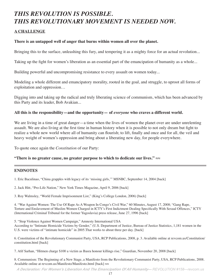# *THIS REVOLUTION IS POSSIBLE. THIS REVOLUTIONARY MOVEMENT IS NEEDED NOW.*

## **A CHALLENGE**

#### **There is an untapped well of anger that burns within women all over the planet.**

Bringing this to the surface, unleashing this fury, and tempering it as a mighty force for an actual revolution...

Taking up the fight for women's liberation as an essential part of the emancipation of humanity as a whole...

Building powerful and uncompromising resistance to every assault on women today...

Modeling a whole different and emancipatory morality, rooted in the goal, and struggle, to uproot all forms of exploitation and oppression…

Digging into and taking up the radical and truly liberating science of communism, which has been advanced by this Party and its leader, Bob Avakian...

#### **All this is the responsibility—and the opportunity— of** *everyone* **who craves a different world.**

We are living in a time of great danger—a time when the lives of women the planet over are under unrelenting assault. We are also living at the first time in human history when it is possible to not only dream but fight to realize a whole new world where all of humanity can flourish; to lift, finally and once and for all, the veil and heavy weight of women's oppression and bring about a liberating new day, for people everywhere.

To quote once again the *Constitution* of our Party:

#### **"There is no greater cause, no greater purpose to which to dedicate our lives."** ≈≈

#### **ENDNOTES**

1. Eric Baculinao, "China grapples with legacy of its 'missing girls,'" MSNBC, September 14, 2004 [back]

2. Jack Hitt, "Pro-Life Nation," New York Times Magazine, April 9, 2006 [back]

3. Roy Walmsley, "World Female Imprisonment List," (King's College London, 2006) [back]

4. "War Against Women: The Use Of Rape As A Weapon In Congo's Civil War," 60 Minutes, August 17, 2008; "Gang Rape, Torture and Enslavement of Muslim Women Charged in ICTY's First Indictment Dealing Specifically With Sexual Offences," ICTY (International Criminal Tribunal for the former Yugoslavia) press release, June 27, 1996 [back]

5. "Stop Violence Against Women Campaign," Amnesty International USA According to "Intimate Homicide Victims by Gender," (U.S. Department of Justice, Bureau of Justice Statistics, 1,181 women in the U.S. were victims of "intimate homicide" in 2005.That works to about three per day. [back]

6. Constitution of the Revolutionary Communist Party, USA, RCP Publications, 2008, p. 3. Available online at revcom.us/Constitution/ constitution.html [back]

7. Afif Sarhan, "Hitmen charge \$100 a victim as Basra honour killings rise," Guardian, November 20, 2008 [back]

8. Communism: The Beginning of a New Stage, a Manifesto from the Revolutionary Communist Party, USA, RCP Publications, 2008. Available online at revcom.us/Manifesto/Manifesto.html [back] ≈≈

*A Declaration: For Women's Liberation And The Emancipation Of All Humanity— REVOLUTION #158—revcom.us*